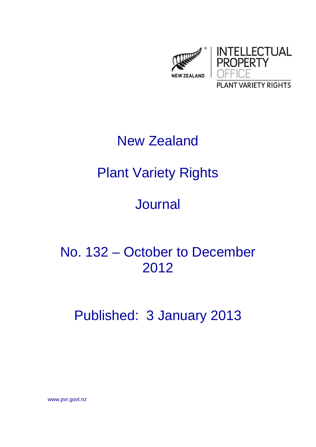

# New Zealand

# Plant Variety Rights

# **Journal**

No. 132 – October to December 2012

Published: 3 January 2013

www.pvr.govt.nz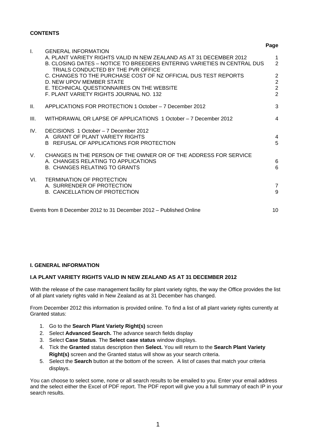#### **CONTENTS**

|              |                                                                                                                                                                                                                    | Page                                                                 |
|--------------|--------------------------------------------------------------------------------------------------------------------------------------------------------------------------------------------------------------------|----------------------------------------------------------------------|
| $\mathbf{L}$ | <b>GENERAL INFORMATION</b><br>A. PLANT VARIETY RIGHTS VALID IN NEW ZEALAND AS AT 31 DECEMBER 2012<br>B. CLOSING DATES – NOTICE TO BREEDERS ENTERING VARIETIES IN CENTRAL DUS<br>TRIALS CONDUCTED BY THE PVR OFFICE | $\mathbf 1$<br>$\overline{2}$                                        |
|              | C. CHANGES TO THE PURCHASE COST OF NZ OFFICIAL DUS TEST REPORTS<br>D. NEW UPOV MEMBER STATE<br>E. TECHNICAL QUESTIONNAIRES ON THE WEBSITE<br>F. PLANT VARIETY RIGHTS JOURNAL NO. 132                               | $\overline{2}$<br>$\overline{2}$<br>$\overline{2}$<br>$\overline{2}$ |
| H.           | APPLICATIONS FOR PROTECTION 1 October - 7 December 2012                                                                                                                                                            | 3                                                                    |
| III.         | WITHDRAWAL OR LAPSE OF APPLICATIONS 1 October - 7 December 2012                                                                                                                                                    | $\overline{4}$                                                       |
| IV.          | DECISIONS 1 October - 7 December 2012<br>A GRANT OF PLANT VARIETY RIGHTS<br>B REFUSAL OF APPLICATIONS FOR PROTECTION                                                                                               | $\overline{4}$<br>5                                                  |
| V.           | CHANGES IN THE PERSON OF THE OWNER OR OF THE ADDRESS FOR SERVICE<br>A. CHANGES RELATING TO APPLICATIONS<br><b>B. CHANGES RELATING TO GRANTS</b>                                                                    | 6<br>6                                                               |
| VL.          | <b>TERMINATION OF PROTECTION</b><br>A. SURRENDER OF PROTECTION<br><b>B. CANCELLATION OF PROTECTION</b>                                                                                                             | $\overline{7}$<br>9                                                  |
|              | Events from 8 December 2012 to 31 December 2012 – Published Online                                                                                                                                                 | 10                                                                   |

#### **I. GENERAL INFORMATION**

#### **I.A PLANT VARIETY RIGHTS VALID IN NEW ZEALAND AS AT 31 DECEMBER 2012**

With the release of the case management facility for plant variety rights, the way the Office provides the list of all plant variety rights valid in New Zealand as at 31 December has changed.

From December 2012 this information is provided online. To find a list of all plant variety rights currently at Granted status:

- 1. Go to the **Search Plant Variety Right(s)** screen
- 2. Select **Advanced Search.** The advance search fields display
- 3. Select **Case Status**. The **Select case status** window displays.
- 4. Tick the **Granted** status description then **Select.** You will return to the **Search Plant Variety Right(s)** screen and the Granted status will show as your search criteria.
- 5. Select the **Search** button at the bottom of the screen. A list of cases that match your criteria displays.

You can choose to select some, none or all search results to be emailed to you. Enter your email address and the select either the Excel of PDF report. The PDF report will give you a full summary of each IP in your search results.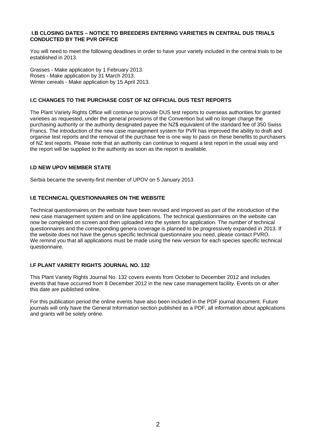#### **I.B CLOSING DATES – NOTICE TO BREEDERS ENTERING VARIETIES IN CENTRAL DUS TRIALS CONDUCTED BY THE PVR OFFICE**

You will need to meet the following deadlines in order to have your variety included in the central trials to be established in 2013.

Grasses - Make application by 1 February 2013. Roses - Make application by 31 March 2013. Winter cereals - Make application by 15 April 2013.

#### **I.C CHANGES TO THE PURCHASE COST OF NZ OFFICIAL DUS TEST REPORTS**

The Plant Variety Rights Office will continue to provide DUS test reports to overseas authorities for granted varieties as requested, under the general provisions of the Convention but will no longer charge the purchasing authority or the authority designated payee the NZ\$ equivalent of the standard fee of 350 Swiss Francs. The introduction of the new case management system for PVR has improved the ability to draft and organise test reports and the removal of the purchase fee is one way to pass on these benefits to purchasers of NZ test reports. Please note that an authority can continue to request a test report in the usual way and the report will be supplied to the authority as soon as the report is available.

#### **I.D NEW UPOV MEMBER STATE**

Serbia became the seventy-first member of UPOV on 5 January 2013

#### **I.E TECHNICAL QUESTIONNAIRES ON THE WEBSITE**

Technical questionnaires on the website have been revised and improved as part of the introduction of the new case management system and on line applications. The technical questionnaires on the website can now be completed on screen and then uploaded into the system for application. The number of technical questionnaires and the corresponding genera coverage is planned to be progressively expanded in 2013. If the website does not have the genus specific technical questionnaire you need, please contact PVRO. We remind you that all applications must be made using the new version for each species specific technical questionnaire.

#### **I.F PLANT VARIETY RIGHTS JOURNAL NO. 132**

This Plant Variety Rights Journal No. 132 covers events from October to December 2012 and includes events that have occurred from 8 December 2012 in the new case management facility. Events on or after this date are published online.

For this publication period the online events have also been included in the PDF journal document. Future journals will only have the General Information section published as a PDF, all information about applications and grants will be solely online.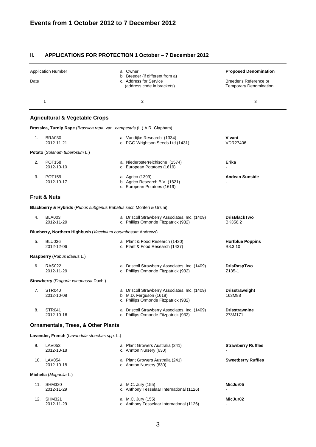#### **II. APPLICATIONS FOR PROTECTION 1 October – 7 December 2012**

|      | <b>Application Number</b>                                               | a. Owner                                                                                                           | <b>Proposed Denomination</b>                            |
|------|-------------------------------------------------------------------------|--------------------------------------------------------------------------------------------------------------------|---------------------------------------------------------|
| Date |                                                                         | b. Breeder (if different from a)<br>c. Address for Service<br>(address code in brackets)                           | Breeder's Reference or<br><b>Temporary Denomination</b> |
|      | 1                                                                       | 2                                                                                                                  | 3                                                       |
|      | <b>Agricultural &amp; Vegetable Crops</b>                               |                                                                                                                    |                                                         |
|      | Brassica, Turnip Rape (Brassica rapa var. campestris (L.) A.R. Clapham) |                                                                                                                    |                                                         |
| 1.   | <b>BRA030</b><br>2012-11-21                                             | a. Vandijke Research (1334)<br>c. PGG Wrightson Seeds Ltd (1431)                                                   | Vivant<br><b>VDR27406</b>                               |
|      | Potato (Solanum tuberosum L.)                                           |                                                                                                                    |                                                         |
| 2.   | <b>POT158</b><br>2012-10-10                                             | a. Niederosterreichische (1574)<br>c. European Potatoes (1619)                                                     | Erika                                                   |
| 3.   | <b>POT159</b><br>2012-10-17                                             | a. Agrico (1399)<br>b. Agrico Research B.V. (1621)<br>c. European Potatoes (1619)                                  | <b>Andean Sunside</b>                                   |
|      | <b>Fruit &amp; Nuts</b>                                                 |                                                                                                                    |                                                         |
|      | Blackberry & Hybrids (Rubus subgenus Eubatus sect. Moriferi & Ursini)   |                                                                                                                    |                                                         |
| 4.   | <b>BLA003</b><br>2012-11-29                                             | a. Driscoll Strawberry Associates, Inc. (1409)<br>c. Phillips Ormonde Fitzpatrick (932)                            | <b>DrisBlackTwo</b><br>BK356.2                          |
|      | Blueberry, Northern Highbush (Vaccinium corymbosum Andrews)             |                                                                                                                    |                                                         |
| 5.   | <b>BLU036</b><br>2012-12-06                                             | a. Plant & Food Research (1430)<br>c. Plant & Food Research (1437)                                                 | <b>Hortblue Poppins</b><br>B8.3.10                      |
|      | Raspberry (Rubus idaeus L.)                                             |                                                                                                                    |                                                         |
| 6.   | <b>RAS022</b><br>2012-11-29                                             | a. Driscoll Strawberry Associates, Inc. (1409)<br>c. Phillips Ormonde Fitzpatrick (932)                            | <b>DrisRaspTwo</b><br>Z <sub>135</sub> -1               |
|      | Strawberry (Fragaria xananassa Duch.)                                   |                                                                                                                    |                                                         |
| 7.   | STR <sub>040</sub><br>2012-10-08                                        | a. Driscoll Strawberry Associates, Inc. (1409)<br>b. M.D. Ferguson (1618)<br>c. Phillips Ormonde Fitzpatrick (932) | <b>Drisstraweight</b><br>163M88                         |
| 8.   | <b>STR041</b><br>2012-10-16                                             | a. Driscoll Strawberry Associates, Inc. (1409)<br>c. Phillips Ormonde Fitzpatrick (932)                            | <b>Drisstrawnine</b><br>273M171                         |
|      | <b>Ornamentals, Trees, &amp; Other Plants</b>                           |                                                                                                                    |                                                         |
|      | Lavender, French (Lavandula stoechas spp. L.)                           |                                                                                                                    |                                                         |
| 9.   | <b>LAV053</b><br>2012-10-18                                             | a. Plant Growers Australia (241)<br>c. Annton Nursery (630)                                                        | <b>Strawberry Ruffles</b>                               |
|      | 10. LAV054<br>2012-10-18                                                | a. Plant Growers Australia (241)<br>c. Annton Nursery (630)                                                        | <b>Sweetberry Ruffles</b>                               |
|      | Michelia (Magnolia L.)                                                  |                                                                                                                    |                                                         |
|      | 11. SHM320<br>2012-11-29                                                | a. M.C. Jury (155)<br>c. Anthony Tesselaar International (1126)                                                    | MicJur05                                                |
| 12.  | <b>SHM321</b><br>2012-11-29                                             | a. M.C. Jury (155)<br>c. Anthony Tesselaar International (1126)                                                    | MicJur02                                                |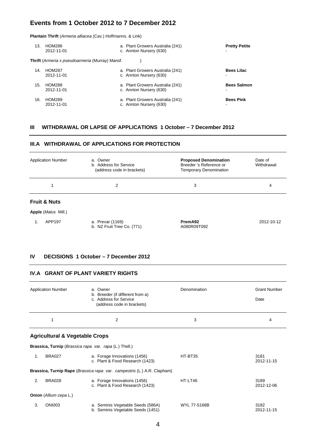**Plantain Thrift** (*Armeria alliacea* (Cav.) Hoffmanns. & Link)

| 13. | HOM286<br>2012-11-01                                   | a. Plant Growers Australia (241)<br>c. Annton Nursery (630) | <b>Pretty Petite</b> |
|-----|--------------------------------------------------------|-------------------------------------------------------------|----------------------|
|     | <b>Thrift</b> (Armeria x pseudoarmeria (Murray) Mansf. |                                                             |                      |
| 14. | <b>HOM287</b><br>2012-11-01                            | a. Plant Growers Australia (241)<br>c. Annton Nursery (630) | <b>Bees Lilac</b>    |
| 15. | <b>HOM288</b><br>2012-11-01                            | a. Plant Growers Australia (241)<br>c. Annton Nursery (630) | <b>Bees Salmon</b>   |
| 16. | <b>HOM289</b><br>2012-11-01                            | a. Plant Growers Australia (241)<br>c. Annton Nursery (630) | <b>Bees Pink</b>     |

#### **III WITHDRAWAL OR LAPSE OF APPLICATIONS 1 October – 7 December 2012**

#### **III.A WITHDRAWAL OF APPLICATIONS FOR PROTECTION**

b. NZ Fruit Tree Co. (771) A080R09T092

| <b>Application Number</b>  | a. Owner<br>b. Address for Service<br>(address code in brackets) | <b>Proposed Denomination</b><br>Breeder 's Reference or<br>Temporary Denomination | Date of<br>Withdrawal |
|----------------------------|------------------------------------------------------------------|-----------------------------------------------------------------------------------|-----------------------|
| 1                          | 2                                                                | 3                                                                                 | 4                     |
| <b>Fruit &amp; Nuts</b>    |                                                                  |                                                                                   |                       |
| <b>Apple (Malus Mill.)</b> |                                                                  |                                                                                   |                       |
| APP197                     | a. Prevar (1169)                                                 | PremA92                                                                           | 2012-10-12            |

#### **IV DECISIONS 1 October – 7 December 2012**

#### **IV.A GRANT OF PLANT VARIETY RIGHTS**

|    | <b>Application Number</b>                              | a. Owner<br>b. Breeder (if different from a)<br>c. Address for Service<br>(address code in brackets) | Denomination | <b>Grant Number</b><br>Date |
|----|--------------------------------------------------------|------------------------------------------------------------------------------------------------------|--------------|-----------------------------|
|    | 1                                                      | $\overline{2}$                                                                                       | 3            | 4                           |
|    | <b>Agricultural &amp; Vegetable Crops</b>              |                                                                                                      |              |                             |
|    | Brassica, Turnip (Brassica rapa var. rapa (L.) Thell.) |                                                                                                      |              |                             |
| 1. | <b>BRA027</b>                                          | a. Forage Innovations (1456)<br>c. Plant & Food Research (1423)                                      | HT-BT35      | 3181<br>2012-11-15          |
|    |                                                        | Brassica, Turnip Rape (Brassica rapa var. campestris (L.) A.R. Clapham)                              |              |                             |
| 2. | <b>BRA028</b>                                          | a. Forage Innovations (1456)<br>c. Plant & Food Research (1423)                                      | HT-LT46      | 3189<br>2012-12-06          |
|    | <b>Onion</b> (Allium cepa L.)                          |                                                                                                      |              |                             |
| 3. | <b>ONI003</b>                                          | a. Seminis Vegetable Seeds (586A)<br>b. Seminis Vegetable Seeds (1451)                               | WYL 77-5168B | 3182<br>2012-11-15          |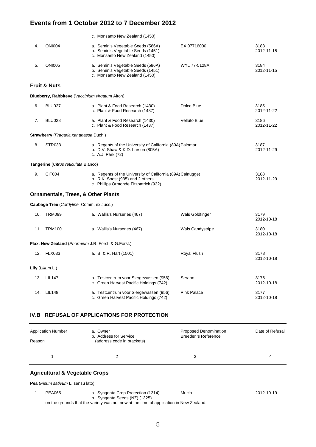|     |                                                      | c. Monsanto New Zealand (1450)                                                                                                           |                         |                    |
|-----|------------------------------------------------------|------------------------------------------------------------------------------------------------------------------------------------------|-------------------------|--------------------|
| 4.  | <b>ONI004</b>                                        | a. Seminis Vegetable Seeds (586A)<br>b. Seminis Vegetable Seeds (1451)<br>c. Monsanto New Zealand (1450)                                 | EX 07716000             | 3183<br>2012-11-15 |
| 5.  | <b>ONI005</b>                                        | a. Seminis Vegetable Seeds (586A)<br>b. Seminis Vegetable Seeds (1451)<br>c. Monsanto New Zealand (1450)                                 | WYL 77-5128A            | 3184<br>2012-11-15 |
|     | <b>Fruit &amp; Nuts</b>                              |                                                                                                                                          |                         |                    |
|     | Blueberry, Rabbiteye (Vaccinium virgatum Aiton)      |                                                                                                                                          |                         |                    |
| 6.  | <b>BLU027</b>                                        | a. Plant & Food Research (1430)<br>c. Plant & Food Research (1437)                                                                       | Dolce Blue              | 3185<br>2012-11-22 |
| 7.  | <b>BLU028</b>                                        | a. Plant & Food Research (1430)<br>c. Plant & Food Research (1437)                                                                       | Velluto Blue            | 3186<br>2012-11-22 |
|     | <b>Strawberry</b> ( <i>Fragaria xananassa</i> Duch.) |                                                                                                                                          |                         |                    |
| 8.  | STR033                                               | a. Regents of the University of California (89A) Palomar<br>b. D.V. Shaw & K.D. Larson (805A)<br>c. A.J. Park (72)                       |                         | 3187<br>2012-11-29 |
|     | <b>Tangerine</b> (Citrus reticulata Blanco)          |                                                                                                                                          |                         |                    |
|     |                                                      |                                                                                                                                          |                         |                    |
| 9.  | CIT004                                               | a. Regents of the University of California (89A) Calnugget<br>b. R.K. Soost (935) and 2 others.<br>c. Phillips Ormonde Fitzpatrick (932) |                         | 3188<br>2012-11-29 |
|     | <b>Ornamentals, Trees, &amp; Other Plants</b>        |                                                                                                                                          |                         |                    |
|     | Cabbage Tree (Cordyline Comm. ex Juss.)              |                                                                                                                                          |                         |                    |
| 10. | TRM099                                               | a. Wallis's Nurseries (467)                                                                                                              | Wals Goldfinger         | 3179<br>2012-10-18 |
| 11. | <b>TRM100</b>                                        | a. Wallis's Nurseries (467)                                                                                                              | <b>Wals Candystripe</b> | 3180<br>2012-10-18 |
|     | Flax, New Zealand (Phormium J.R. Forst. & G.Forst.)  |                                                                                                                                          |                         |                    |
|     | 12. FLX033                                           | a. B. & R. Hart (1501)                                                                                                                   | Royal Flush             | 3178<br>2012-10-18 |
|     | Lily (Lilium L.)                                     |                                                                                                                                          |                         |                    |
|     | 13. LIL147                                           | a. Testcentrum voor Siergewassen (956)<br>c. Green Harvest Pacific Holdings (742)                                                        | Serano                  | 3176<br>2012-10-18 |

#### **IV.B REFUSAL OF APPLICATIONS FOR PROTECTION**

| <b>Application Number</b><br>Reason       | a. Owner<br>b. Address for Service<br>(address code in brackets) | Proposed Denomination<br><b>Breeder 's Reference</b> | Date of Refusal |
|-------------------------------------------|------------------------------------------------------------------|------------------------------------------------------|-----------------|
|                                           | 2                                                                | 3                                                    | 4               |
| <b>Agricultural &amp; Vegetable Crops</b> |                                                                  |                                                      |                 |
| Pea (Pisum sativum L. sensu lato)         |                                                                  |                                                      |                 |

 1. PEA065 a. Syngenta Crop Protection (1314) Mucio 2012-10-19 b. Syngenta Seeds (NZ) (1325)

on the grounds that the variety was not new at the time of application in New Zealand.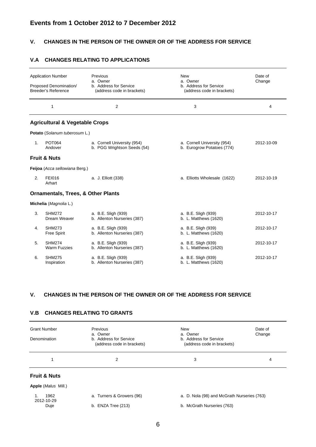#### **V. CHANGES IN THE PERSON OF THE OWNER OR OF THE ADDRESS FOR SERVICE**

#### **V.A CHANGES RELATING TO APPLICATIONS**

|                | <b>Application Number</b><br>Proposed Denomination/ | Previous<br>a. Owner<br>b. Address for Service             | <b>New</b><br>a. Owner<br>b. Address for Service          | Date of<br>Change |  |
|----------------|-----------------------------------------------------|------------------------------------------------------------|-----------------------------------------------------------|-------------------|--|
|                | Breeder's Reference                                 | (address code in brackets)                                 | (address code in brackets)                                |                   |  |
|                | 1                                                   | $\overline{2}$                                             | 3                                                         | 4                 |  |
|                | <b>Agricultural &amp; Vegetable Crops</b>           |                                                            |                                                           |                   |  |
|                | Potato (Solanum tuberosum L.)                       |                                                            |                                                           |                   |  |
| $\mathbf{1}$ . | <b>POT064</b><br>Andover                            | a. Cornell University (954)<br>b. PGG Wrightson Seeds (54) | a. Cornell University (954)<br>b. Eurogrow Potatoes (774) | 2012-10-09        |  |
|                | <b>Fruit &amp; Nuts</b>                             |                                                            |                                                           |                   |  |
|                | Feijoa (Acca sellowiana Berg.)                      |                                                            |                                                           |                   |  |
| 2.             | <b>FEI016</b><br>Arhart                             | a. J. Elliott (338)                                        | a. Elliotts Wholesale (1622)                              | 2012-10-19        |  |
|                | <b>Ornamentals, Trees, &amp; Other Plants</b>       |                                                            |                                                           |                   |  |
|                | Michelia (Magnolia L.)                              |                                                            |                                                           |                   |  |
| 3.             | <b>SHM272</b><br>Dream Weaver                       | a. B.E. Sligh (939)<br>b. Allenton Nurseries (387)         | a. B.E. Sligh (939)<br>b. L. Matthews (1620)              | 2012-10-17        |  |
| 4.             | <b>SHM273</b><br><b>Free Spirit</b>                 | a. B.E. Sligh (939)<br>b. Allenton Nurseries (387)         | a. B.E. Sligh (939)<br>b. L. Matthews (1620)              | 2012-10-17        |  |
| 5.             | <b>SHM274</b><br><b>Warm Fuzzies</b>                | a. B.E. Sligh (939)<br>b. Allenton Nurseries (387)         | a. B.E. Sligh (939)<br>b. L. Matthews (1620)              | 2012-10-17        |  |
| 6.             | <b>SHM275</b><br>Inspiration                        | a. B.E. Sligh (939)<br>b. Allenton Nurseries (387)         | a. B.E. Sligh (939)<br>b. L. Matthews (1620)              | 2012-10-17        |  |

#### **V. CHANGES IN THE PERSON OF THE OWNER OR OF THE ADDRESS FOR SERVICE**

#### **V.B CHANGES RELATING TO GRANTS**

| <b>Grant Number</b><br>Denomination | Previous<br>a. Owner<br>b. Address for Service<br>(address code in brackets) | New<br>a. Owner<br>b. Address for Service<br>(address code in brackets) | Date of<br>Change |
|-------------------------------------|------------------------------------------------------------------------------|-------------------------------------------------------------------------|-------------------|
| 1                                   | 2                                                                            | 3                                                                       | 4                 |
| <b>Fruit &amp; Nuts</b>             |                                                                              |                                                                         |                   |
| <b>Apple (Malus Mill.)</b>          |                                                                              |                                                                         |                   |
| 1962<br>1.<br>2012-10-29            | a. Turners & Growers (96)                                                    | a. D. Nola (98) and McGrath Nurseries (763)                             |                   |
| Duje                                | b. $ENZA$ Tree $(213)$                                                       | b. McGrath Nurseries (763)                                              |                   |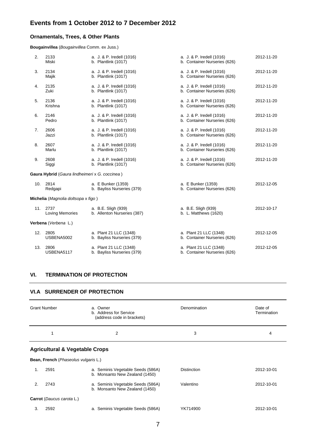#### **Ornamentals, Trees, & Other Plants**

**Bougainvillea** (*Bougainvillea* Comm. ex Juss.)

| 2.  | 2133<br>Miski                                  | a. J. & P. Iredell (1016)<br>b. Plantlink (1017)     | a. J. & P. Iredell (1016)<br>b. Container Nurseries (626) | 2012-11-20 |
|-----|------------------------------------------------|------------------------------------------------------|-----------------------------------------------------------|------------|
| 3.  | 2134<br>Majik                                  | a. J. & P. Iredell (1016)<br>b. Plantlink (1017)     | a. J. & P. Iredell (1016)<br>b. Container Nurseries (626) | 2012-11-20 |
| 4.  | 2135<br>Zuki                                   | a. J. & P. Iredell (1016)<br>b. Plantlink (1017)     | a. J. & P. Iredell (1016)<br>b. Container Nurseries (626) | 2012-11-20 |
| 5.  | 2136<br>Krishna                                | a. J. & P. Iredell (1016)<br>b. Plantlink (1017)     | a. J. & P. Iredell (1016)<br>b. Container Nurseries (626) | 2012-11-20 |
| 6.  | 2146<br>Pedro                                  | a. J. & P. Iredell (1016)<br>b. Plantlink (1017)     | a. J. & P. Iredell (1016)<br>b. Container Nurseries (626) | 2012-11-20 |
| 7.  | 2606<br>Jazzi                                  | a. J. & P. Iredell (1016)<br>b. Plantlink (1017)     | a. J. & P. Iredell (1016)<br>b. Container Nurseries (626) | 2012-11-20 |
| 8.  | 2607<br>Marlu                                  | a. J. & P. Iredell (1016)<br>b. Plantlink (1017)     | a. J. & P. Iredell (1016)<br>b. Container Nurseries (626) | 2012-11-20 |
| 9.  | 2608<br>Siggi                                  | a. J. & P. Iredell (1016)<br>b. Plantlink (1017)     | a. J. & P. Iredell (1016)<br>b. Container Nurseries (626) | 2012-11-20 |
|     | Gaura Hybrid (Gaura lindheimeri x G. coccinea) |                                                      |                                                           |            |
|     | 10. 2814<br>Redgapi                            | a. E Bunker (1359)<br>b. Bayliss Nurseries (379)     | a. E Bunker (1359)<br>b. Container Nurseries (626)        | 2012-12-05 |
|     | Michelia (Magnolia doltsopa x figo)            |                                                      |                                                           |            |
|     | 11. 2737<br><b>Loving Memories</b>             | a. B.E. Sligh (939)<br>b. Allenton Nurseries (387)   | a. B.E. Sligh (939)<br>b. L. Matthews (1620)              | 2012-10-17 |
|     | Verbena (Verbena L.)                           |                                                      |                                                           |            |
| 12. | 2805<br>USBENA5002                             | a. Plant 21 LLC (1348)<br>b. Bayliss Nurseries (379) | a. Plant 21 LLC (1348)<br>b. Container Nurseries (626)    | 2012-12-05 |
| 13. | 2806<br>USBENA5117                             | a. Plant 21 LLC (1348)<br>b. Bayliss Nurseries (379) | a. Plant 21 LLC (1348)<br>b. Container Nurseries (626)    | 2012-12-05 |
|     |                                                |                                                      |                                                           |            |

#### **VI. TERMINATION OF PROTECTION**

#### **VI.A SURRENDER OF PROTECTION**

|    | <b>Grant Number</b>                  | a. Owner<br>b. Address for Service<br>(address code in brackets)    | Denomination       | Date of<br>Termination |
|----|--------------------------------------|---------------------------------------------------------------------|--------------------|------------------------|
|    | 1                                    | 2                                                                   | 3                  | 4                      |
|    |                                      | <b>Agricultural &amp; Vegetable Crops</b>                           |                    |                        |
|    | Bean, French (Phaseolus vulgaris L.) |                                                                     |                    |                        |
| 1. | 2591                                 | a. Seminis Vegetable Seeds (586A)<br>b. Monsanto New Zealand (1450) | <b>Distinction</b> | 2012-10-01             |
| 2. | 2743                                 | a. Seminis Vegetable Seeds (586A)<br>b. Monsanto New Zealand (1450) | Valentino          | 2012-10-01             |

**Carrot** (*Daucus carota* L.)

| 3. | 2592 | a. Seminis Vegetable Seeds (586A) | YK714900 | 2012-10-01 |
|----|------|-----------------------------------|----------|------------|
|----|------|-----------------------------------|----------|------------|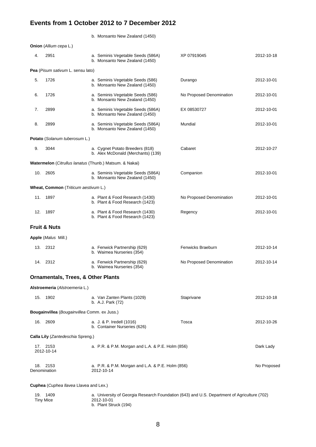|                                                             |                                               | b. Monsanto New Zealand (1450)                                        |                          |             |
|-------------------------------------------------------------|-----------------------------------------------|-----------------------------------------------------------------------|--------------------------|-------------|
|                                                             | Onion (Allium cepa L.)                        |                                                                       |                          |             |
| 4.                                                          | 2951                                          | a. Seminis Vegetable Seeds (586A)<br>b. Monsanto New Zealand (1450)   | XP 07919045              | 2012-10-18  |
|                                                             | Pea (Pisum sativum L. sensu lato)             |                                                                       |                          |             |
| 5.                                                          | 1726                                          | a. Seminis Vegetable Seeds (586)<br>b. Monsanto New Zealand (1450)    | Durango                  | 2012-10-01  |
| 6.                                                          | 1726                                          | a. Seminis Vegetable Seeds (586)<br>b. Monsanto New Zealand (1450)    | No Proposed Denomination | 2012-10-01  |
| 7.                                                          | 2899                                          | a. Seminis Vegetable Seeds (586A)<br>b. Monsanto New Zealand (1450)   | EX 08530727              | 2012-10-01  |
| 8.                                                          | 2899                                          | a. Seminis Vegetable Seeds (586A)<br>b. Monsanto New Zealand (1450)   | Mundial                  | 2012-10-01  |
|                                                             | Potato (Solanum tuberosum L.)                 |                                                                       |                          |             |
| 9.                                                          | 3044                                          | a. Cygnet Potato Breeders (818)<br>b. Alex McDonald (Merchants) (139) | Cabaret                  | 2012-10-27  |
|                                                             |                                               | Watermelon (Citrullus lanatus (Thunb.) Matsum. & Nakai)               |                          |             |
|                                                             | 10. 2605                                      | a. Seminis Vegetable Seeds (586A)<br>b. Monsanto New Zealand (1450)   | Companion                | 2012-10-01  |
|                                                             | Wheat, Common (Triticum aestivum L.)          |                                                                       |                          |             |
|                                                             | 11. 1897                                      | a. Plant & Food Research (1430)<br>b. Plant & Food Research (1423)    | No Proposed Denomination | 2012-10-01  |
|                                                             | 12. 1897                                      | a. Plant & Food Research (1430)<br>b. Plant & Food Research (1423)    | Regency                  | 2012-10-01  |
|                                                             | <b>Fruit &amp; Nuts</b>                       |                                                                       |                          |             |
|                                                             | Apple (Malus Mill.)                           |                                                                       |                          |             |
|                                                             | 13. 2312                                      | a. Fenwick Partnership (629)<br>b. Waimea Nurseries (354)             | Fenwicks Braeburn        | 2012-10-14  |
|                                                             | 14. 2312                                      | a. Fenwick Partnership (629)<br>b. Waimea Nurseries (354)             | No Proposed Denomination | 2012-10-14  |
|                                                             | <b>Ornamentals, Trees, &amp; Other Plants</b> |                                                                       |                          |             |
|                                                             | Alstroemeria (Alstroemeria L.)                |                                                                       |                          |             |
|                                                             | 15. 1902                                      | a. Van Zanten Plants (1029)<br>b. A.J. Park (72)                      | Staprivane               | 2012-10-18  |
| <b>Bougainvillea</b> ( <i>Bougainvillea</i> Comm. ex Juss.) |                                               |                                                                       |                          |             |
|                                                             | 16. 2609                                      | a. J. & P. Iredell (1016)<br>b. Container Nurseries (626)             | Tosca                    | 2012-10-26  |
| Calla Lily (Zantedeschia Spreng.)                           |                                               |                                                                       |                          |             |
|                                                             | 17. 2153<br>2012-10-14                        | a. P.R. & P.M. Morgan and L.A. & P.E. Holm (856)                      |                          | Dark Lady   |
|                                                             | 18. 2153<br>Denomination                      | a. P.R. & P.M. Morgan and L.A. & P.E. Holm (856)<br>2012-10-14        |                          | No Proposed |

#### **Cuphea** (*Cuphea llavea* Llavea and Lex.)

| 1409<br>19. | a. University of Georgia Research Foundation (643) and U.S. Department of Agriculture (702) |
|-------------|---------------------------------------------------------------------------------------------|
| Tiny Mice   | 2012-10-01                                                                                  |
|             | b. Plant Struck (194)                                                                       |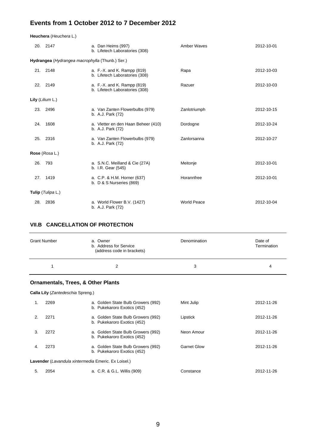**Heuchera** (*Heuchera* L.)

|     | 20. 2147                                        | a. Dan Heims (997)<br>b. Lifetech Laboratories (308)          | Amber Waves        | 2012-10-01 |
|-----|-------------------------------------------------|---------------------------------------------------------------|--------------------|------------|
|     | Hydrangea (Hydrangea macrophylla (Thunb.) Ser.) |                                                               |                    |            |
|     | 21. 2148                                        | a. F.-X. and K. Rampp (819)<br>b. Lifetech Laboratories (308) | Rapa               | 2012-10-03 |
|     | 22. 2149                                        | a. F.-X. and K. Rampp (819)<br>b. Lifetech Laboratories (308) | Razuer             | 2012-10-03 |
|     | Lily $(Lilium L.)$                              |                                                               |                    |            |
|     | 23. 2496                                        | a. Van Zanten Flowerbulbs (979)<br>b. A.J. Park (72)          | Zanlotriumph       | 2012-10-15 |
| 24. | 1608                                            | a. Vletter en den Haan Beheer (410)<br>b. A.J. Park (72)      | Dordogne           | 2012-10-24 |
| 25. | 2316                                            | a. Van Zanten Flowerbulbs (979)<br>b. A.J. Park (72)          | Zanlorsanna        | 2012-10-27 |
|     | Rose (Rosa L.)                                  |                                                               |                    |            |
|     | 26. 793                                         | a. S.N.C. Meilland & Cie (27A)<br>b. I.R. Gear (545)          | Meitonje           | 2012-10-01 |
|     | 27. 1419                                        | a. C.P. & H.M. Horner (637)<br>b. D & S Nurseries (869)       | Horannfree         | 2012-10-01 |
|     | Tulip (Tulipa L.)                               |                                                               |                    |            |
| 28. | 2836                                            | a. World Flower B.V. (1427)<br>b. A.J. Park (72)              | <b>World Peace</b> | 2012-10-04 |

#### **VII.B CANCELLATION OF PROTECTION**

| <b>Grant Number</b> | a. Owner<br>b. Address for Service<br>(address code in brackets) | Denomination | Date of<br>Termination |
|---------------------|------------------------------------------------------------------|--------------|------------------------|
|                     |                                                                  | 3            | 4                      |

#### **Ornamentals, Trees, & Other Plants**

|                                                     | Calla Lily (Zantedeschia Spreng.) |                                                                   |                    |            |  |
|-----------------------------------------------------|-----------------------------------|-------------------------------------------------------------------|--------------------|------------|--|
| 1.                                                  | 2269                              | a. Golden State Bulb Growers (992)<br>b. Pukekaroro Exotics (452) | Mint Julip         | 2012-11-26 |  |
| 2.                                                  | 2271                              | a. Golden State Bulb Growers (992)<br>b. Pukekaroro Exotics (452) | Lipstick           | 2012-11-26 |  |
| 3.                                                  | 2272                              | a. Golden State Bulb Growers (992)<br>b. Pukekaroro Exotics (452) | Neon Amour         | 2012-11-26 |  |
| 4.                                                  | 2273                              | a. Golden State Bulb Growers (992)<br>b. Pukekaroro Exotics (452) | <b>Garnet Glow</b> | 2012-11-26 |  |
| Lavender (Lavandula xintermedia Emeric. Ex Loisel.) |                                   |                                                                   |                    |            |  |
| 5.                                                  | 2054                              | a. C.R. & G.L. Willis (909)                                       | Constance          | 2012-11-26 |  |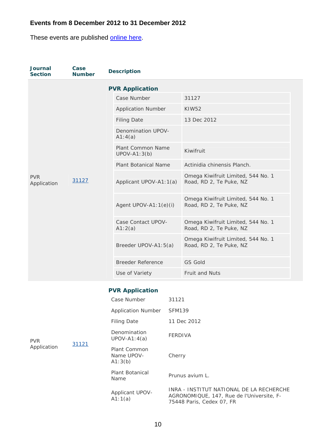These events are published **online here**.

| <b>Journal</b><br><b>Section</b> | Case<br><b>Number</b> | <b>Description</b>                  |                                                               |
|----------------------------------|-----------------------|-------------------------------------|---------------------------------------------------------------|
|                                  |                       | <b>PVR Application</b>              |                                                               |
|                                  |                       | Case Number                         | 31127                                                         |
|                                  |                       | <b>Application Number</b>           | <b>KIW52</b>                                                  |
|                                  |                       | <b>Filing Date</b>                  | 13 Dec 2012                                                   |
|                                  |                       | Denomination UPOV-<br>A1:4(a)       |                                                               |
|                                  |                       | Plant Common Name<br>$UPOV-A1:3(b)$ | Kiwifruit                                                     |
|                                  | 31127                 | Plant Botanical Name                | Actinidia chinensis Planch.                                   |
| <b>PVR</b><br>Application        |                       | Applicant UPOV-A1:1(a)              | Omega Kiwifruit Limited, 544 No. 1<br>Road, RD 2, Te Puke, NZ |
|                                  |                       | Agent UPOV-A1: $1(e)(i)$            | Omega Kiwifruit Limited, 544 No. 1<br>Road, RD 2, Te Puke, NZ |
|                                  |                       | Case Contact UPOV-<br>A1:2(a)       | Omega Kiwifruit Limited, 544 No. 1<br>Road, RD 2, Te Puke, NZ |
|                                  |                       | Breeder UPOV-A1:5(a)                | Omega Kiwifruit Limited, 544 No. 1<br>Road, RD 2, Te Puke, NZ |
|                                  |                       | <b>Breeder Reference</b>            | <b>GS Gold</b>                                                |
|                                  |                       | Use of Variety                      | Fruit and Nuts                                                |

# **PVR Application**

|             |       | Case Number                           | 31121                                                                                                              |
|-------------|-------|---------------------------------------|--------------------------------------------------------------------------------------------------------------------|
|             | 31121 | <b>Application Number</b>             | <b>SFM139</b>                                                                                                      |
|             |       | <b>Filing Date</b>                    | 11 Dec 2012                                                                                                        |
| <b>PVR</b>  |       | Denomination<br>$UPOV-A1:4(a)$        | <b>FERDIVA</b>                                                                                                     |
| Application |       | Plant Common<br>Name UPOV-<br>A1:3(b) | Cherry                                                                                                             |
|             |       | Plant Botanical<br>Name               | Prunus avium L.                                                                                                    |
|             |       | Applicant UPOV-<br>A1:1(a)            | INRA - INSTITUT NATIONAL DE LA RECHERCHE<br>AGRONOMIQUE, 147, Rue de l'Universite, F-<br>75448 Paris, Cedex 07, FR |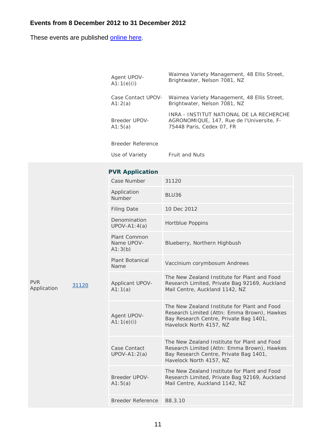These events are published **online here**.

| Agent UPOV-              | Waimea Variety Management, 48 Ellis Street,                                                                        |
|--------------------------|--------------------------------------------------------------------------------------------------------------------|
| A1:1(e)(i)               | Brightwater, Nelson 7081, NZ                                                                                       |
| Case Contact UPOV-       | Waimea Variety Management, 48 Ellis Street,                                                                        |
| A1:2(a)                  | Brightwater, Nelson 7081, NZ                                                                                       |
| Breeder UPOV-<br>A1:5(a) | INRA - INSTITUT NATIONAL DE LA RECHERCHE<br>AGRONOMIQUE, 147, Rue de l'Universite, F-<br>75448 Paris, Cedex 07, FR |
| Breeder Reference        |                                                                                                                    |

|                           |       | <b>PVR Application</b>                |                                                                                                                                                                  |
|---------------------------|-------|---------------------------------------|------------------------------------------------------------------------------------------------------------------------------------------------------------------|
|                           |       | Case Number                           | 31120                                                                                                                                                            |
|                           |       | Application<br>Number                 | BLU36                                                                                                                                                            |
|                           |       | <b>Filing Date</b>                    | 10 Dec 2012                                                                                                                                                      |
|                           |       | Denomination<br>$UPOV-A1:4(a)$        | <b>Hortblue Poppins</b>                                                                                                                                          |
|                           |       | Plant Common<br>Name UPOV-<br>A1:3(b) | Blueberry, Northern Highbush                                                                                                                                     |
|                           |       | <b>Plant Botanical</b><br>Name        | Vaccinium corymbosum Andrews                                                                                                                                     |
| <b>PVR</b><br>Application | 31120 | Applicant UPOV-<br>A1:1(a)            | The New Zealand Institute for Plant and Food<br>Research Limited, Private Bag 92169, Auckland<br>Mail Centre, Auckland 1142, NZ                                  |
|                           |       | Agent UPOV-<br>A1:1(e)(i)             | The New Zealand Institute for Plant and Food<br>Research Limited (Attn: Emma Brown), Hawkes<br>Bay Research Centre, Private Bag 1401,<br>Havelock North 4157, NZ |
|                           |       | Case Contact<br>$UPOV-A1:2(a)$        | The New Zealand Institute for Plant and Food<br>Research Limited (Attn: Emma Brown), Hawkes<br>Bay Research Centre, Private Bag 1401,<br>Havelock North 4157, NZ |
|                           |       | <b>Breeder UPOV-</b><br>A1:5(a)       | The New Zealand Institute for Plant and Food<br>Research Limited, Private Bag 92169, Auckland<br>Mail Centre, Auckland 1142, NZ                                  |
|                           |       | Breeder Reference                     | B8.3.10                                                                                                                                                          |

Use of Variety Fruit and Nuts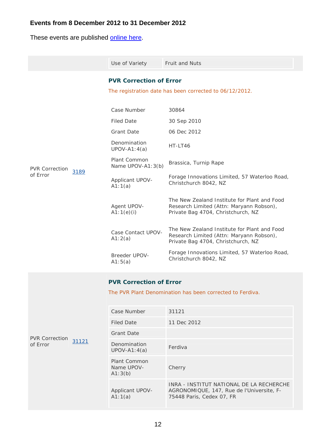These events are published **online here**.

|                                   |       | Use of Variety                        | <b>Fruit and Nuts</b>                                                                                                          |
|-----------------------------------|-------|---------------------------------------|--------------------------------------------------------------------------------------------------------------------------------|
|                                   |       | <b>PVR Correction of Error</b>        |                                                                                                                                |
|                                   |       |                                       | The registration date has been corrected to 06/12/2012.                                                                        |
|                                   |       | Case Number                           | 30864                                                                                                                          |
|                                   |       | <b>Filed Date</b>                     | 30 Sep 2010                                                                                                                    |
|                                   |       | <b>Grant Date</b>                     | 06 Dec 2012                                                                                                                    |
|                                   |       | Denomination<br>$UPOV-A1:4(a)$        | HT-LT46                                                                                                                        |
| <b>PVR Correction</b>             | 3189  | Plant Common<br>Name UPOV-A1:3(b)     | Brassica, Turnip Rape                                                                                                          |
| of Error                          |       | Applicant UPOV-<br>A1:1(a)            | Forage Innovations Limited, 57 Waterloo Road,<br>Christchurch 8042, NZ                                                         |
|                                   |       | Agent UPOV-<br>A1:1(e)(i)             | The New Zealand Institute for Plant and Food<br>Research Limited (Attn: Maryann Robson),<br>Private Bag 4704, Christchurch, NZ |
|                                   |       | Case Contact UPOV-<br>A1:2(a)         | The New Zealand Institute for Plant and Food<br>Research Limited (Attn: Maryann Robson),<br>Private Bag 4704, Christchurch, NZ |
|                                   |       | Breeder UPOV-<br>A1:5(a)              | Forage Innovations Limited, 57 Waterloo Road,<br>Christchurch 8042, NZ                                                         |
|                                   |       | <b>PVR Correction of Error</b>        |                                                                                                                                |
|                                   |       |                                       | The PVR Plant Denomination has been corrected to Ferdiva.                                                                      |
|                                   |       | Case Number                           | 31121                                                                                                                          |
|                                   |       | <b>Filed Date</b>                     | 11 Dec 2012                                                                                                                    |
|                                   |       | <b>Grant Date</b>                     |                                                                                                                                |
| <b>PVR Correction</b><br>of Error | 31121 | Denomination<br>$UPOV-A1:4(a)$        | Ferdiva                                                                                                                        |
|                                   |       | Plant Common<br>Name UPOV-<br>A1:3(b) | Cherry                                                                                                                         |
|                                   |       | Applicant UPOV-<br>A1:1(a)            | INRA - INSTITUT NATIONAL DE LA RECHERCHE<br>AGRONOMIQUE, 147, Rue de l'Universite, F-<br>75448 Paris, Cedex 07, FR             |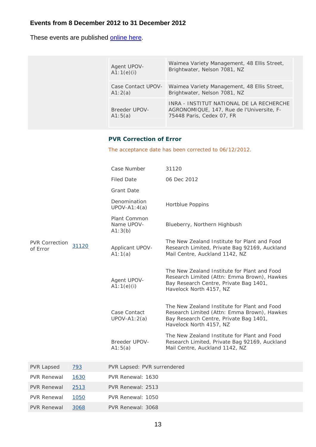These events are published online here.

| Agent UPOV-              | Waimea Variety Management, 48 Ellis Street,                                                                        |
|--------------------------|--------------------------------------------------------------------------------------------------------------------|
| A1:1(e)(i)               | Brightwater, Nelson 7081, NZ                                                                                       |
| Case Contact UPOV-       | Waimea Variety Management, 48 Ellis Street,                                                                        |
| A1:2(a)                  | Brightwater, Nelson 7081, NZ                                                                                       |
| Breeder UPOV-<br>A1:5(a) | INRA - INSTITUT NATIONAL DE LA RECHERCHE<br>AGRONOMIQUE, 147, Rue de l'Universite, F-<br>75448 Paris, Cedex 07, FR |

### **PVR Correction of Error**

The acceptance date has been corrected to 06/12/2012.

|                                   |       | Case Number                           | 31120                                                                                                                                                            |
|-----------------------------------|-------|---------------------------------------|------------------------------------------------------------------------------------------------------------------------------------------------------------------|
|                                   |       | <b>Filed Date</b>                     | 06 Dec 2012                                                                                                                                                      |
|                                   |       | <b>Grant Date</b>                     |                                                                                                                                                                  |
|                                   |       | Denomination<br>$UPOV-A1:4(a)$        | Hortblue Poppins                                                                                                                                                 |
|                                   |       | Plant Common<br>Name UPOV-<br>A1:3(b) | Blueberry, Northern Highbush                                                                                                                                     |
| <b>PVR Correction</b><br>of Error | 31120 | Applicant UPOV-<br>A1:1(a)            | The New Zealand Institute for Plant and Food<br>Research Limited, Private Bag 92169, Auckland<br>Mail Centre, Auckland 1142, NZ                                  |
|                                   |       | Agent UPOV-<br>A1:1(e)(i)             | The New Zealand Institute for Plant and Food<br>Research Limited (Attn: Emma Brown), Hawkes<br>Bay Research Centre, Private Bag 1401,<br>Havelock North 4157, NZ |
|                                   |       | Case Contact<br>$UPOV-A1:2(a)$        | The New Zealand Institute for Plant and Food<br>Research Limited (Attn: Emma Brown), Hawkes<br>Bay Research Centre, Private Bag 1401,<br>Havelock North 4157, NZ |
|                                   |       | <b>Breeder UPOV-</b><br>A1:5(a)       | The New Zealand Institute for Plant and Food<br>Research Limited, Private Bag 92169, Auckland<br>Mail Centre, Auckland 1142, NZ                                  |
| <b>PVR Lapsed</b>                 | 793   | PVR Lapsed: PVR surrendered           |                                                                                                                                                                  |
| <b>PVR Renewal</b>                | 1630  | PVR Renewal: 1630                     |                                                                                                                                                                  |
| <b>PVR Renewal</b>                | 2513  | PVR Renewal: 2513                     |                                                                                                                                                                  |
| <b>PVR Renewal</b>                | 1050  | PVR Renewal: 1050                     |                                                                                                                                                                  |
| <b>PVR Renewal</b>                | 3068  | PVR Renewal: 3068                     |                                                                                                                                                                  |